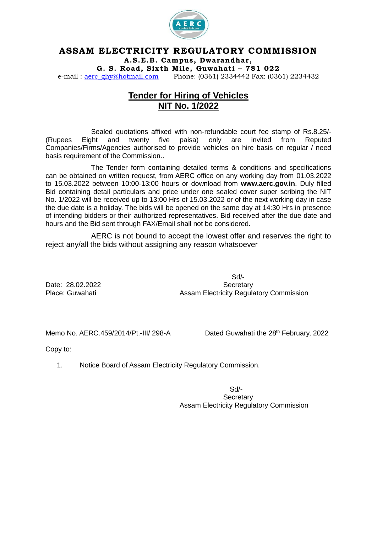

## **ASSAM ELECTRICITY REGULATORY COMMISSION**

**A.S .E.B . Campus , Dwarandhar ,**

**G . S . Road , Six th M i le, Guwahat i – 781 022**

e-mail : [aerc\\_ghy@hotmail.com](mailto:aerc_ghy@hotmail.com) Phone: (0361) 2334442 Fax: (0361) 2234432

# **Tender for Hiring of Vehicles NIT No. 1/2022**

Sealed quotations affixed with non-refundable court fee stamp of Rs.8.25/- (Rupees Eight and twenty five paisa) only are invited from Reputed Companies/Firms/Agencies authorised to provide vehicles on hire basis on regular / need basis requirement of the Commission..

The Tender form containing detailed terms & conditions and specifications can be obtained on written request, from AERC office on any working day from 01.03.2022 to 15.03.2022 between 10:00-13:00 hours or download from **www.aerc.gov.in**. Duly filled Bid containing detail particulars and price under one sealed cover super scribing the NIT No. 1/2022 will be received up to 13:00 Hrs of 15.03.2022 or of the next working day in case the due date is a holiday. The bids will be opened on the same day at 14:30 Hrs in presence of intending bidders or their authorized representatives. Bid received after the due date and hours and the Bid sent through FAX/Email shall not be considered.

AERC is not bound to accept the lowest offer and reserves the right to reject any/all the bids without assigning any reason whatsoever

Sd/- Date: 28.02.2022 Secretary Place: Guwahati **Assam Electricity Regulatory Commission** 

Memo No. AERC.459/2014/Pt.-III/ 298-A

Dated Guwahati the 28<sup>th</sup> February, 2022

Copy to:

1. Notice Board of Assam Electricity Regulatory Commission.

Sd/- **Secretary** Assam Electricity Regulatory Commission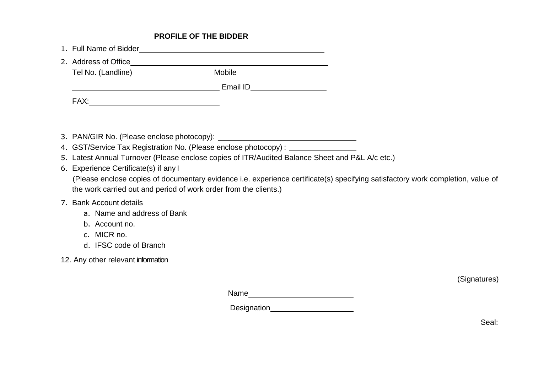## **PROFILE OF THE BIDDER**

| 1. Full Name of Bidder |          |  |
|------------------------|----------|--|
| 2. Address of Office   |          |  |
| Tel No. (Landline)     | Mobile   |  |
|                        | Email ID |  |
| FAX:                   |          |  |

- 3. PAN/GIR No. (Please enclose photocopy):
- 4. GST/Service Tax Registration No. (Please enclose photocopy) :
- 5. Latest Annual Turnover (Please enclose copies of ITR/Audited Balance Sheet and P&L A/c etc.)
- 6. Experience Certificate(s) if any I

(Please enclose copies of documentary evidence i.e. experience certificate(s) specifying satisfactory work completion, value of the work carried out and period of work order from the clients.)

#### 7. Bank Account details

- a. Name and address of Bank
- b. Account no.
- c. MICR no.
- d. IFSC code of Branch
- 12. Any other relevant information

(Signatures)

Name

Designation
<br>
<u>
Designation</u>

Seal: